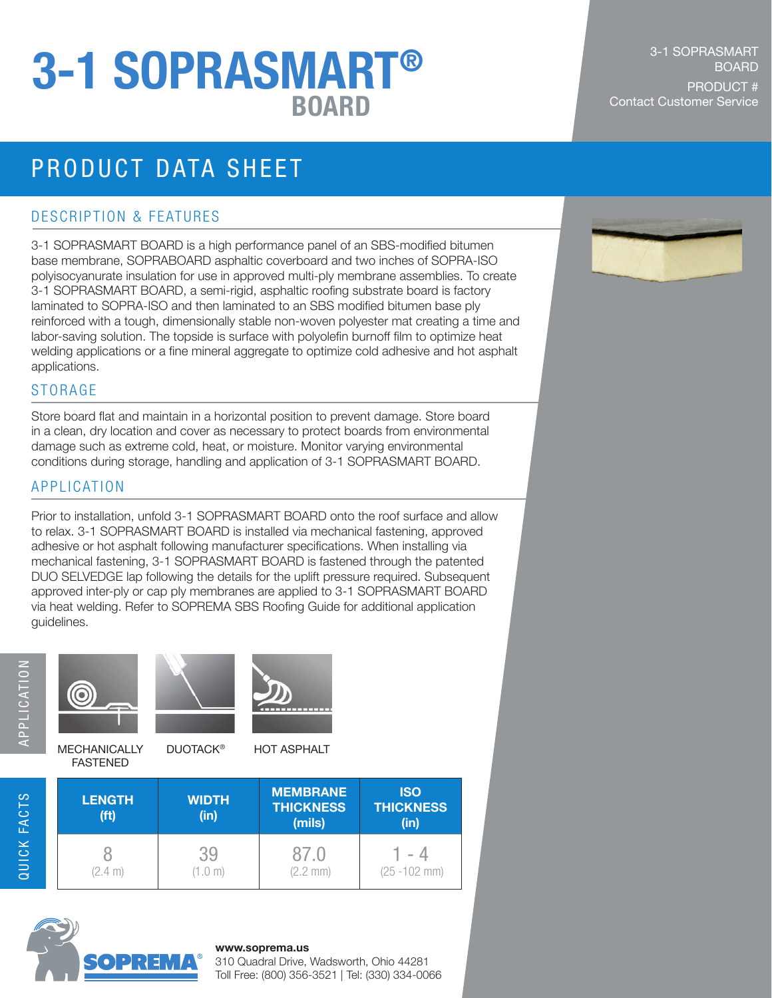# BOARD Contact Customer Service 3-1 SOPRASMART®

## PRODUCT DATA SHEET

#### DESCRIPTION & FEATURES

3-1 SOPRASMART BOARD is a high performance panel of an SBS-modified bitumen base membrane, SOPRABOARD asphaltic coverboard and two inches of SOPRA-ISO polyisocyanurate insulation for use in approved multi-ply membrane assemblies. To create 3-1 SOPRASMART BOARD, a semi-rigid, asphaltic roofing substrate board is factory laminated to SOPRA-ISO and then laminated to an SBS modified bitumen base ply reinforced with a tough, dimensionally stable non-woven polyester mat creating a time and labor-saving solution. The topside is surface with polyolefin burnoff film to optimize heat welding applications or a fine mineral aggregate to optimize cold adhesive and hot asphalt applications.

#### **STORAGE**

Store board flat and maintain in a horizontal position to prevent damage. Store board in a clean, dry location and cover as necessary to protect boards from environmental damage such as extreme cold, heat, or moisture. Monitor varying environmental conditions during storage, handling and application of 3-1 SOPRASMART BOARD.

#### APPLICATION

Prior to installation, unfold 3-1 SOPRASMART BOARD onto the roof surface and allow to relax. 3-1 SOPRASMART BOARD is installed via mechanical fastening, approved adhesive or hot asphalt following manufacturer specifications. When installing via mechanical fastening, 3-1 SOPRASMART BOARD is fastened through the patented DUO SELVEDGE lap following the details for the uplift pressure required. Subsequent approved inter-ply or cap ply membranes are applied to 3-1 SOPRASMART BOARD via heat welding. Refer to SOPREMA SBS Roofing Guide for additional application guidelines.



**MECHANICALLY** 

DUOTACK<sup>®</sup> HOT ASPHALT

| <b>LENGTH</b><br>(f <sup>t</sup> ) | <b>WIDTH</b><br>(in) | <b>MEMBRANE</b><br><b>THICKNESS</b><br>(mils) | <b>ISO</b><br><b>THICKNESS</b><br>(in) |
|------------------------------------|----------------------|-----------------------------------------------|----------------------------------------|
| (2.4 m)                            | .0 m)                | 87.0<br>$(2.2 \, \text{mm})$                  | $\sim$<br>$(25 - 102$ mm)              |



FASTENED

#### **www.soprema.us**

310 Quadral Drive, Wadsworth, Ohio 44281 Toll Free: (800) 356-3521 | Tel: (330) 334-0066

#### 3-1 SOPRASMART **BOARD** PRODUCT #